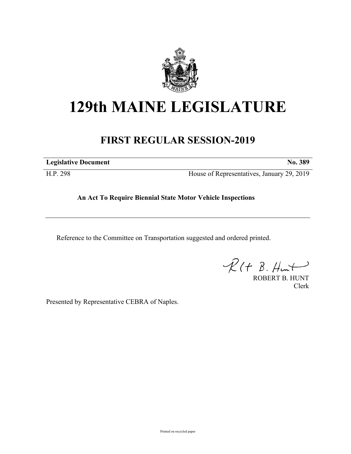

## **129th MAINE LEGISLATURE**

## **FIRST REGULAR SESSION-2019**

**Legislative Document No. 389**

H.P. 298 House of Representatives, January 29, 2019

## **An Act To Require Biennial State Motor Vehicle Inspections**

Reference to the Committee on Transportation suggested and ordered printed.

 $\mathcal{R}(t \; \mathcal{B}, \mathcal{H}_{\mathsf{int}})$ 

ROBERT B. HUNT Clerk

Presented by Representative CEBRA of Naples.